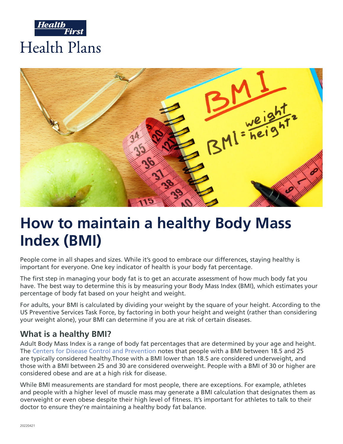



# **How to maintain a healthy Body Mass Index (BMI)**

People come in all shapes and sizes. While it's good to embrace our differences, staying healthy is important for everyone. One key indicator of health is your body fat percentage.

The first step in managing your body fat is to get an accurate assessment of how much body fat you have. The best way to determine this is by measuring your Body Mass Index (BMI), which estimates your percentage of body fat based on your height and weight.

For adults, your BMI is calculated by dividing your weight by the square of your height. According to the US Preventive Services Task Force, by factoring in both your height and weight (rather than considering your weight alone), your BMI can determine if you are at risk of certain diseases.

### **What is a healthy BMI?**

Adult Body Mass Index is a range of body fat percentages that are determined by your age and height. The [Centers for Disease Control and Prevention](https://www.cdc.gov/healthyweight/assessing/index.html) notes that people with a BMI between 18.5 and 25 are typically considered healthy.Those with a BMI lower than 18.5 are considered underweight, and those with a BMI between 25 and 30 are considered overweight. People with a BMI of 30 or higher are considered obese and are at a high risk for disease.

While BMI measurements are standard for most people, there are exceptions. For example, athletes and people with a higher level of muscle mass may generate a BMI calculation that designates them as overweight or even obese despite their high level of fitness. It's important for athletes to talk to their doctor to ensure they're maintaining a healthy body fat balance.